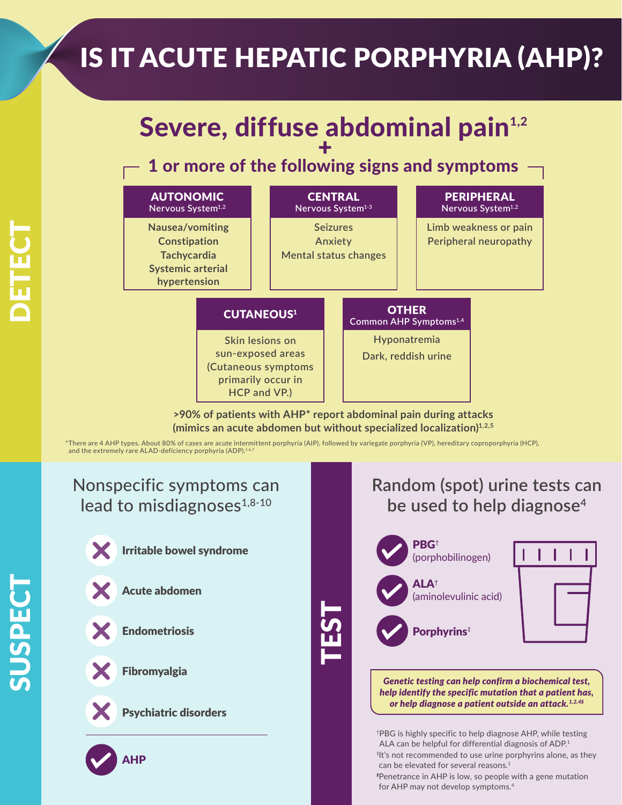# IS IT ACUTE HEPATIC PORPHYRIA (AHP)?

# Severe, diffuse abdominal pain<sup>1,2</sup> +

## 1 or more of the following signs and symptoms



**>90% of patients with AHP\* report abdominal pain during attacks (mimics an acute abdomen but without specialized localization)1,2,5**

TEST

\*There are 4 AHP types. About 80% of cases are acute intermittent porphyria (AIP), followed by variegate porphyria (VP), hereditary coproporphyria (HCP), and the extremely rare ALAD-deficiency porphyria (ADP).<sup>1,6</sup>

### Nonspecific symptoms can lead to misdiagnoses $1,8-10$



Irritable bowel syndrome





Fibromyalgia

Acute abdomen



Psychiatric disorders

AHP

### **Random (spot) urine tests can be used to help diagnose4**



*help identify the specific mutation that a patient has, or help diagnose a patient outside an attack.1,2,4§*

† PBG is highly specific to help diagnose AHP, while testing ALA can be helpful for differential diagnosis of ADP.<sup>1</sup> ‡ It's not recommended to use urine porphyrins alone, as they can be elevated for several reasons.<sup>1</sup>

*§* Penetrance in AHP is low, so people with a gene mutation for AHP may not develop symptoms.4